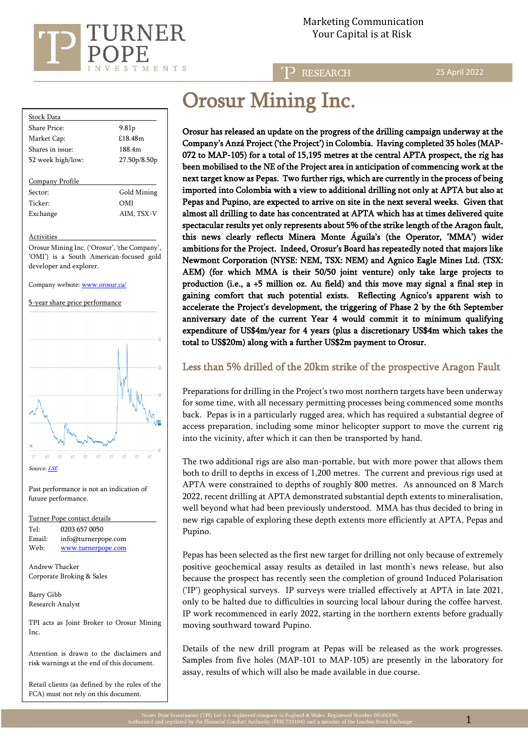

**RESEARCH** 

25 April 2022

| Stock Data          |                   |  |  |
|---------------------|-------------------|--|--|
| Share Price:        | 9.81 <sub>p</sub> |  |  |
| Market Cap:         | £18.48m           |  |  |
| Shares in issue:    | 188.4m            |  |  |
| 52 week high/low:   | 27.50p/8.50p      |  |  |
|                     |                   |  |  |
| Company Profile     |                   |  |  |
| Sector:             | Gold Mining       |  |  |
| Ticker <sup>.</sup> | OMI               |  |  |
| Exchange            | AIM, TSX-V        |  |  |
|                     |                   |  |  |

#### **Activities**

Orosur Mining Inc. ('Orosur', 'the Company', 'OMI') is a South American-focused gold developer and explorer.

Company website[: www.orosur.ca/](http://www.orosur.ca/) 





Past performance is not an indication of future performance.

Turner Pope contact details Tel: [0203](tel:0203) 657 0050 Email: info@turnerpope.com Web: [www.turnerpope.com](http://www.turnerpope.com/)

Andrew Thacker Corporate Broking & Sales

Barry Gibb Research Analyst

TPI acts as Joint Broker to Orosur Mining Inc.

Attention is drawn to the disclaimers and risk warnings at the end of this document.

Retail clients (as defined by the rules of the FCA) must not rely on this document.

# Orosur Mining Inc.

Orosur has released an update on the progress of the drilling campaign underway at the Company's Anzá Project ('the Project') in Colombia. Having completed 35 holes (MAP-072 to MAP-105) for a total of 15,195 metres at the central APTA prospect, the rig has been mobilised to the NE of the Project area in anticipation of commencing work at the next target know as Pepas. Two further rigs, which are currently in the process of being imported into Colombia with a view to additional drilling not only at APTA but also at Pepas and Pupino, are expected to arrive on site in the next several weeks. Given that almost all drilling to date has concentrated at APTA which has at times delivered quite spectacular results yet only represents about 5% of the strike length of the Aragon fault, this news clearly reflects Minera Monte Águila's (the Operator, 'MMA') wider ambitions for the Project. Indeed, Orosur's Board has repeatedly noted that majors like Newmont Corporation (NYSE: NEM, TSX: NEM) and Agnico Eagle Mines Ltd. (TSX: AEM) (for which MMA is their 50/50 joint venture) only take large projects to production (i.e., a +5 million oz. Au field) and this move may signal a final step in gaining comfort that such potential exists. Reflecting Agnico's apparent wish to accelerate the Project's development, the triggering of Phase 2 by the 6th September anniversary date of the current Year 4 would commit it to minimum qualifying expenditure of US\$4m/year for 4 years (plus a discretionary US\$4m which takes the total to US\$20m) along with a further US\$2m payment to Orosur.

# Less than 5% drilled of the 20km strike of the prospective Aragon Fault

Preparations for drilling in the Project's two most northern targets have been underway for some time, with all necessary permitting processes being commenced some months back. Pepas is in a particularly rugged area, which has required a substantial degree of access preparation, including some minor helicopter support to move the current rig into the vicinity, after which it can then be transported by hand.

The two additional rigs are also man-portable, but with more power that allows them both to drill to depths in excess of 1,200 metres. The current and previous rigs used at APTA were constrained to depths of roughly 800 metres. As announced on 8 March 2022, recent drilling at APTA demonstrated substantial depth extents to mineralisation, well beyond what had been previously understood. MMA has thus decided to bring in new rigs capable of exploring these depth extents more efficiently at APTA, Pepas and Pupino.

Pepas has been selected as the first new target for drilling not only because of extremely positive geochemical assay results as detailed in last month's news release, but also because the prospect has recently seen the completion of ground Induced Polarisation ('IP') geophysical surveys. IP surveys were trialled effectively at APTA in late 2021, only to be halted due to difficulties in sourcing local labour during the coffee harvest. IP work recommenced in early 2022, starting in the northern extents before gradually moving southward toward Pupino.

Details of the new drill program at Pepas will be released as the work progresses. Samples from five holes (MAP-101 to MAP-105) are presently in the laboratory for assay, results of which will also be made available in due course.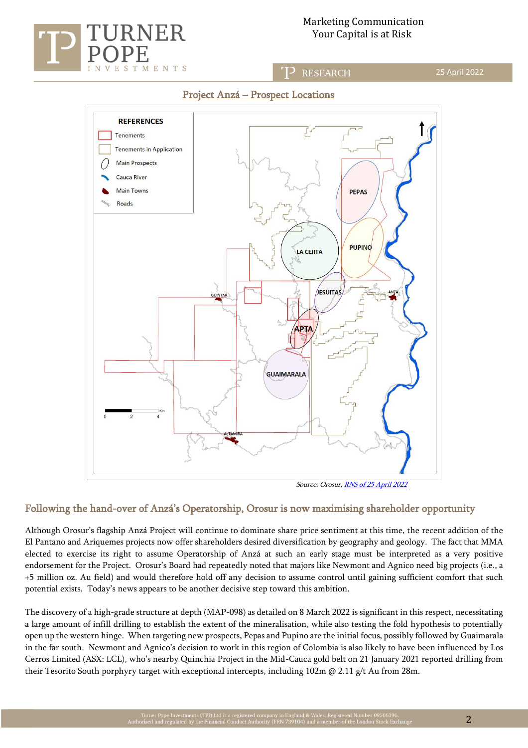

j

## Marketing Communication Your Capital is at Risk

**RESEARCH** 



# Project Anzá – Prospect Locations

Source: Orosur[, RNS of 25 April 2022](https://www.londonstockexchange.com/news-article/OMI/colombia-update-and-exercise-of-options/15422499)

## Following the hand-over of Anzá's Operatorship, Orosur is now maximising shareholder opportunity

Although Orosur's flagship Anzá Project will continue to dominate share price sentiment at this time, the recent addition of the El Pantano and Ariquemes projects now offer shareholders desired diversification by geography and geology. The fact that MMA elected to exercise its right to assume Operatorship of Anzá at such an early stage must be interpreted as a very positive endorsement for the Project. Orosur's Board had repeatedly noted that majors like Newmont and Agnico need big projects (i.e., a +5 million oz. Au field) and would therefore hold off any decision to assume control until gaining sufficient comfort that such potential exists. Today's news appears to be another decisive step toward this ambition.

The discovery of a high-grade structure at depth (MAP-098) as detailed on 8 March 2022 is significant in this respect, necessitating a large amount of infill drilling to establish the extent of the mineralisation, while also testing the fold hypothesis to potentially open up the western hinge. When targeting new prospects, Pepas and Pupino are the initial focus, possibly followed by Guaimarala in the far south. Newmont and Agnico's decision to work in this region of Colombia is also likely to have been influenced by Los Cerros Limited (ASX: LCL), who's nearby Quinchia Project in the Mid-Cauca gold belt on 21 January 2021 reported drilling from their Tesorito South porphyry target with exceptional intercepts, including 102m @ 2.11 g/t Au from 28m.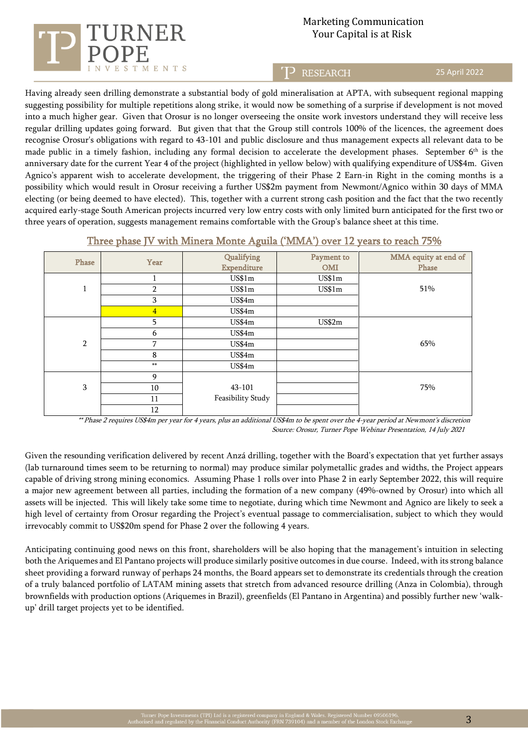

# Marketing Communication Your Capital is at Risk

**RESEARCH** 

25 April 2022

Having already seen drilling demonstrate a substantial body of gold mineralisation at APTA, with subsequent regional mapping suggesting possibility for multiple repetitions along strike, it would now be something of a surprise if development is not moved into a much higher gear. Given that Orosur is no longer overseeing the onsite work investors understand they will receive less regular drilling updates going forward. But given that that the Group still controls 100% of the licences, the agreement does recognise Orosur's obligations with regard to 43-101 and public disclosure and thus management expects all relevant data to be made public in a timely fashion, including any formal decision to accelerate the development phases. September  $6<sup>th</sup>$  is the anniversary date for the current Year 4 of the project (highlighted in yellow below) with qualifying expenditure of US\$4m. Given Agnico's apparent wish to accelerate development, the triggering of their Phase 2 Earn-in Right in the coming months is a possibility which would result in Orosur receiving a further US\$2m payment from Newmont/Agnico within 30 days of MMA electing (or being deemed to have elected). This, together with a current strong cash position and the fact that the two recently acquired early-stage South American projects incurred very low entry costs with only limited burn anticipated for the first two or three years of operation, suggests management remains comfortable with the Group's balance sheet at this time.

| Phase          | Year           | Qualifying         | Payment to | MMA equity at end of |
|----------------|----------------|--------------------|------------|----------------------|
|                |                | <b>Expenditure</b> | <b>OMI</b> | Phase                |
|                |                | US\$1m             | US\$1m     |                      |
| $\mathbf{1}$   | $\overline{2}$ | US\$1m             | US\$1m     | 51%                  |
|                | 3              | US\$4m             |            |                      |
|                | $\overline{4}$ | US\$4m             |            |                      |
| $\overline{2}$ | 5              | US\$4m             | US\$2m     |                      |
|                | 6              | US\$4m             |            |                      |
|                | 7              | US\$4m             |            | 65%                  |
|                | 8              | US\$4m             |            |                      |
|                | $**$           | US\$4m             |            |                      |
|                | 9              |                    |            |                      |
| 3              | 10             | 43-101             |            | 75%                  |
|                | 11             | Feasibility Study  |            |                      |
|                | 12             |                    |            |                      |

#### Three phase JV with Minera Monte Aguila ('MMA') over 12 years to reach 75%

 \*\* Phase 2 requires US\$4m per year for 4 years, plus an additional US\$4m to be spent over the 4-year period at Newmont's discretion Source: Orosur, Turner Pope Webinar Presentation, 14 July 2021

Given the resounding verification delivered by recent Anzá drilling, together with the Board's expectation that yet further assays (lab turnaround times seem to be returning to normal) may produce similar polymetallic grades and widths, the Project appears capable of driving strong mining economics. Assuming Phase 1 rolls over into Phase 2 in early September 2022, this will require a major new agreement between all parties, including the formation of a new company (49%-owned by Orosur) into which all assets will be injected. This will likely take some time to negotiate, during which time Newmont and Agnico are likely to seek a high level of certainty from Orosur regarding the Project's eventual passage to commercialisation, subject to which they would irrevocably commit to US\$20m spend for Phase 2 over the following 4 years.

Anticipating continuing good news on this front, shareholders will be also hoping that the management's intuition in selecting both the Ariquemes and El Pantano projects will produce similarly positive outcomes in due course. Indeed, with its strong balance sheet providing a forward runway of perhaps 24 months, the Board appears set to demonstrate its credentials through the creation of a truly balanced portfolio of LATAM mining assets that stretch from advanced resource drilling (Anza in Colombia), through brownfields with production options (Ariquemes in Brazil), greenfields (El Pantano in Argentina) and possibly further new 'walkup' drill target projects yet to be identified.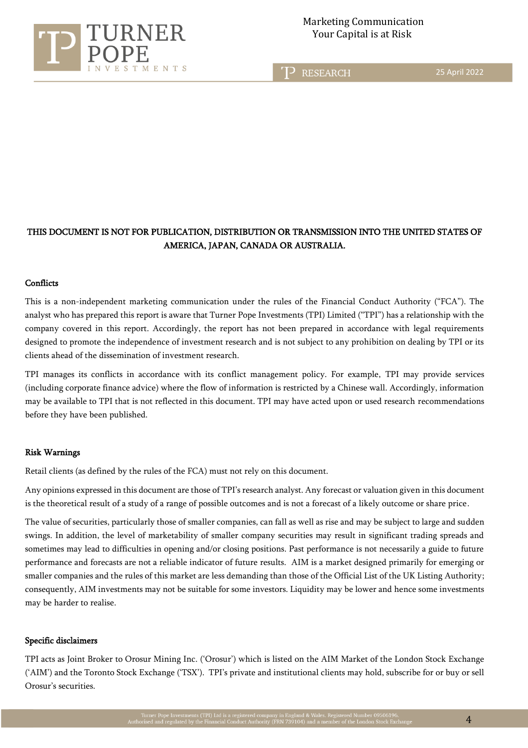

**RESEARCH** 

25 April 2022

# THIS DOCUMENT IS NOT FOR PUBLICATION, DISTRIBUTION OR TRANSMISSION INTO THE UNITED STATES OF AMERICA, JAPAN, CANADA OR AUSTRALIA.

j

#### **Conflicts**

This is a non-independent marketing communication under the rules of the Financial Conduct Authority ("FCA"). The analyst who has prepared this report is aware that Turner Pope Investments (TPI) Limited ("TPI") has a relationship with the company covered in this report. Accordingly, the report has not been prepared in accordance with legal requirements designed to promote the independence of investment research and is not subject to any prohibition on dealing by TPI or its clients ahead of the dissemination of investment research.

TPI manages its conflicts in accordance with its conflict management policy. For example, TPI may provide services (including corporate finance advice) where the flow of information is restricted by a Chinese wall. Accordingly, information may be available to TPI that is not reflected in this document. TPI may have acted upon or used research recommendations before they have been published.

#### Risk Warnings

Retail clients (as defined by the rules of the FCA) must not rely on this document.

Any opinions expressed in this document are those of TPI's research analyst. Any forecast or valuation given in this document is the theoretical result of a study of a range of possible outcomes and is not a forecast of a likely outcome or share price.

The value of securities, particularly those of smaller companies, can fall as well as rise and may be subject to large and sudden swings. In addition, the level of marketability of smaller company securities may result in significant trading spreads and sometimes may lead to difficulties in opening and/or closing positions. Past performance is not necessarily a guide to future performance and forecasts are not a reliable indicator of future results. AIM is a market designed primarily for emerging or smaller companies and the rules of this market are less demanding than those of the Official List of the UK Listing Authority; consequently, AIM investments may not be suitable for some investors. Liquidity may be lower and hence some investments may be harder to realise.

#### Specific disclaimers

TPI acts as Joint Broker to Orosur Mining Inc. ('Orosur') which is listed on the AIM Market of the London Stock Exchange ('AIM') and the Toronto Stock Exchange ('TSX'). TPI's private and institutional clients may hold, subscribe for or buy or sell Orosur's securities.